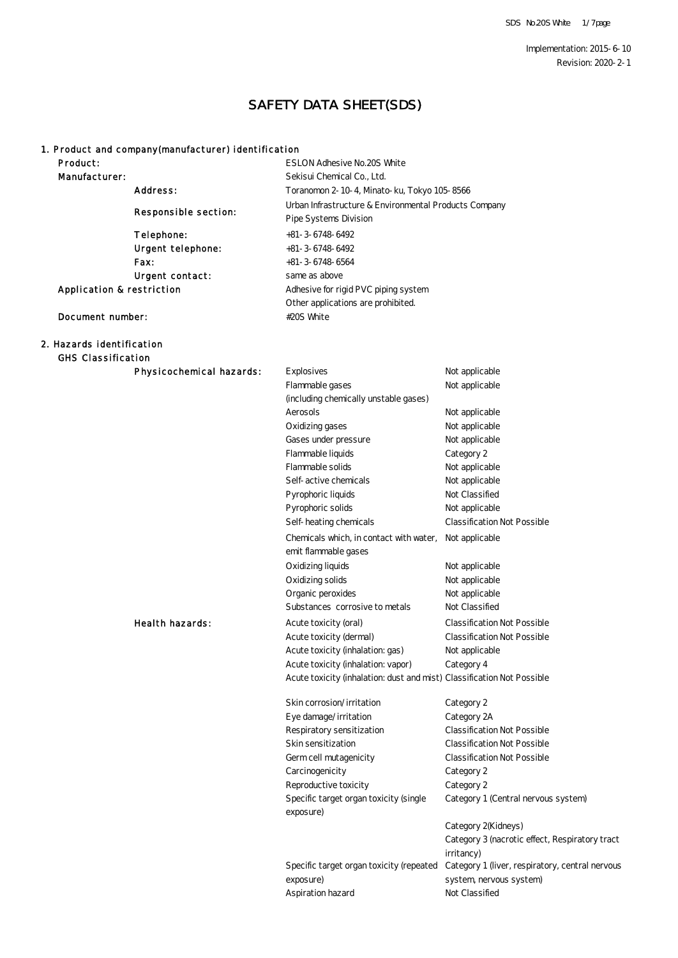Implementation: 2015-6-10 Revision: 2020-2-1

### SAFETY DATA SHEET(SDS)

#### 1. Product and company(manufacturer) identification

| Product:                  |                          | ESLON Adhesive No. 20S White                          |
|---------------------------|--------------------------|-------------------------------------------------------|
| <b>Manufacturer:</b>      |                          | Sekisui Chemical Co., Ltd.                            |
|                           | <b>Address:</b>          | Toranomon 2-10-4, Minato-ku, Tokyo 105-8566           |
|                           |                          | Urban Infrastructure & Environmental Products Company |
|                           | Responsible section:     | Pipe Systems Division                                 |
|                           | Telephone:               | $+81 - 3 + 6748 + 6492$                               |
|                           | <b>Urgent telephone:</b> | $+81 - 3.6748.6492$                                   |
|                           | <b>Fax:</b>              | $+81 - 3 - 6748 - 6564$                               |
|                           | Urgent contact:          | same as above                                         |
| Application & restriction |                          | Adhesive for rigid PVC piping system                  |
|                           |                          | Other applications are prohibited.                    |
| Document number:          |                          | #20S White                                            |

# 2. Hazards identification

GHS Classification

**Physicochemical hazards:** Explosives Not applicable Oxidizing gases Not applicable Gases under pressure Not applicable Flammable gases Not applicable Aerosols Not applicable (including chemically unstable gases) Self-active chemicals Not applicable Pyrophoric liquids Not Classified Flammable liquids Category 2 Flammable solids Not applicable Chemicals which, in contact with water, Not applicable emit flammable gases Oxidizing liquids Not applicable Pyrophoric solids Not applicable Self-heating chemicals Classification Not Possible **Health hazards:** Acute toxicity (oral) Classification Not Possible Oxidizing solids Not applicable Organic peroxides Not applicable Acute toxicity (dermal) Classification Not Possible Acute toxicity (inhalation: gas) Not applicable Substances corrosive to metals Not Classified Skin corrosion/irritation Category 2 Eye damage/irritation Category 2A Acute toxicity (inhalation: vapor) Category 4 Acute toxicity (inhalation: dust and mist) Classification Not Possible Germ cell mutagenicity Classification Not Possible Carcinogenicity Category 2 Respiratory sensitization Classification Not Possible Skin sensitization Classification Not Possible Reproductive toxicity Category 2 Specific target organ toxicity (single exposure) Category 1 (Central nervous system) Category 2(Kidneys)

> Aspiration hazard Not Classified Specific target organ toxicity (repeated exposure)

Category 1 (liver, respiratory, central nervous system, nervous system) Category 3 (nacrotic effect, Respiratory tract irritancy)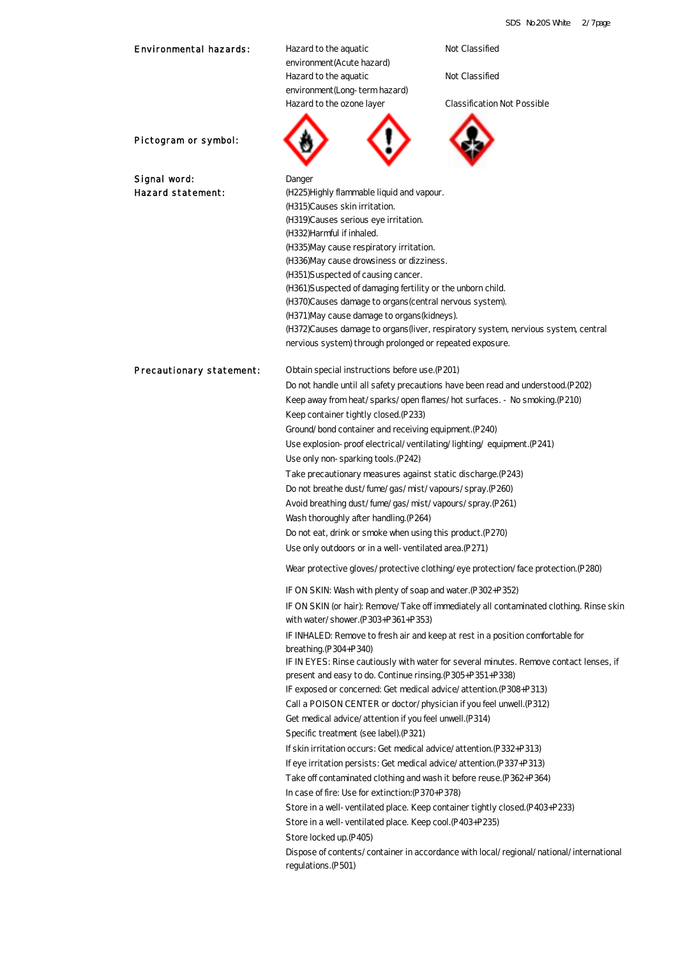| <b>Environmental hazards:</b>   | Hazard to the aquatic<br>environment (Acute hazard)                             | Not Classified                                                                          |  |
|---------------------------------|---------------------------------------------------------------------------------|-----------------------------------------------------------------------------------------|--|
|                                 | Hazard to the aquatic                                                           | Not Classified                                                                          |  |
|                                 | environment (Long-term hazard)                                                  |                                                                                         |  |
|                                 | Hazard to the ozone layer                                                       | <b>Classification Not Possible</b>                                                      |  |
|                                 |                                                                                 |                                                                                         |  |
| Pictogram or symbol:            |                                                                                 |                                                                                         |  |
| Signal word:                    | Danger                                                                          |                                                                                         |  |
| <b>Hazard statement:</b>        | (H225) Highly flammable liquid and vapour.                                      |                                                                                         |  |
|                                 | (H315)Causes skin irritation.                                                   |                                                                                         |  |
|                                 | (H319) Causes serious eye irritation.<br>(H332)Harmful if inhaled.              |                                                                                         |  |
|                                 | (H335)May cause respiratory irritation.                                         |                                                                                         |  |
|                                 | (H336)May cause drowsiness or dizziness.                                        |                                                                                         |  |
|                                 | (H351)S uspected of causing cancer.                                             |                                                                                         |  |
|                                 | (H361)S uspected of damaging fertility or the unborn child.                     |                                                                                         |  |
|                                 | (H370)Causes damage to organs (central nervous system).                         |                                                                                         |  |
|                                 | (H371) May cause damage to organs (kidneys).                                    |                                                                                         |  |
|                                 |                                                                                 | (H372)Causes damage to organs (liver, respiratory system, nervious system, central      |  |
|                                 | nervious system) through prolonged or repeated exposure.                        |                                                                                         |  |
| <b>Precautionary statement:</b> | Obtain special instructions before use. (P201)                                  |                                                                                         |  |
|                                 | Do not handle until all safety precautions have been read and understood (P202) |                                                                                         |  |
|                                 |                                                                                 | Keep away from heat/sparks/open flames/hot surfaces. - No smoking (P210)                |  |
|                                 | Keep container tightly closed (P233)                                            |                                                                                         |  |
|                                 | Ground/bond container and receiving equipment. (P240)                           |                                                                                         |  |
|                                 | Use explosion-proof electrical/ventilating/lighting/equipment. (P241)           |                                                                                         |  |
|                                 | Use only non-sparking tools. (P242)                                             |                                                                                         |  |
|                                 | Take precautionary measures against static discharge. (P243)                    |                                                                                         |  |
|                                 | Do not breathe dust/fume/gas/mist/vapours/spray.(P260)                          |                                                                                         |  |
|                                 | Avoid breathing dust/fume/gas/mist/vapours/spray.(P261)                         |                                                                                         |  |
|                                 | Wash thoroughly after handling (P264)                                           |                                                                                         |  |
|                                 | Do not eat, drink or smoke when using this product. (P270)                      |                                                                                         |  |
|                                 | Use only outdoors or in a well-ventilated area. (P271)                          |                                                                                         |  |
|                                 |                                                                                 | Wear protective gloves/protective clothing/eye protection/face protection (P280)        |  |
|                                 | IF ON SKIN: Wash with plenty of soap and water. (P302+P352)                     |                                                                                         |  |
|                                 | with water/shower. (P303+P361+P353)                                             | IF ON SKIN (or hair): Remove/Take off immediately all contaminated clothing. Rinse skin |  |
|                                 |                                                                                 | IF INHALED: Remove to fresh air and keep at rest in a position comfortable for          |  |
|                                 | breathing (P304+P340)                                                           | IF IN EYES: Rinse cautiously with water for several minutes. Remove contact lenses, if  |  |
|                                 | present and easy to do. Continue rinsing. (P305+P351+P338)                      |                                                                                         |  |
|                                 | IF exposed or concerned: Get medical advice/attention. (P308+P313)              |                                                                                         |  |
|                                 | Call a POISON CENTER or doctor/physician if you feel unwell. (P312)             |                                                                                         |  |
|                                 | Get medical advice/attention if you feel unwell. (P314)                         |                                                                                         |  |
|                                 | Specific treatment (see label). (P321)                                          |                                                                                         |  |
|                                 | If skin irritation occurs: Get medical advice/attention (P332+P313)             |                                                                                         |  |
|                                 | If eye irritation persists: Get medical advice/attention. (P337+P313)           |                                                                                         |  |
|                                 | Take off contaminated clothing and wash it before reuse. (P362+P364)            |                                                                                         |  |
|                                 |                                                                                 |                                                                                         |  |
|                                 | In case of fire: Use for extinction: (P370+P378)                                |                                                                                         |  |
|                                 |                                                                                 | Store in a well-ventilated place. Keep container tightly closed (P403+P233)             |  |
|                                 | Store in a well-ventilated place. Keep cool. (P403+P235)                        |                                                                                         |  |
|                                 | Store locked up (P405)                                                          | Dispose of contents/container in accordance with local/regional/national/international  |  |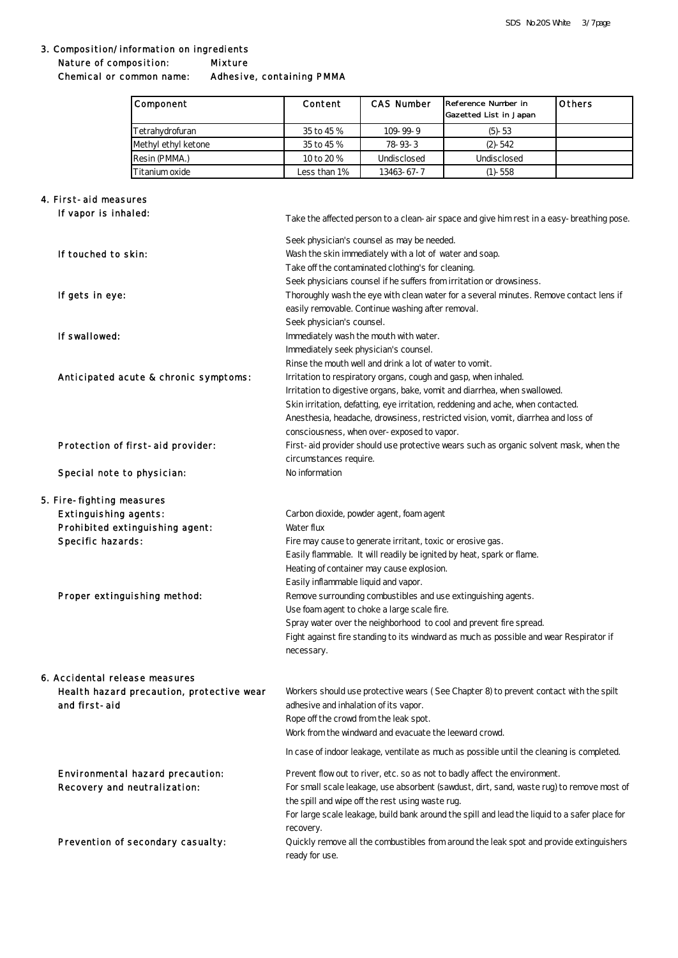#### 3. Composition/information on ingredients **Mixture** Nature of composition:

Chemical or common name: Adhesive, containing PMMA

| <b>Component</b>    | <b>Content</b> | <b>CAS Number</b> | Reference Number in<br><b>Gazetted List in Japan</b> | <b>Others</b> |
|---------------------|----------------|-------------------|------------------------------------------------------|---------------|
| Tetrahvdrofuran     | 35 to 45 %     | $109 - 99 - 9$    | $(5) - 53$                                           |               |
| Methyl ethyl ketone | 35 to 45 %     | 78-93-3           | $(2) - 542$                                          |               |
| Resin (PMMA.)       | 10 to 20 %     | Undisclosed       | Undisclosed                                          |               |
| Titanium oxide      | Less than 1%   | 13463-67-7        | $(1)$ - 558                                          |               |

# 4. First- aid measures

| If vapor is inhaled:                                                           | Take the affected person to a clean- air space and give him rest in a easy-breathing pose.                                                                                                                                                                                                                                                                                     |
|--------------------------------------------------------------------------------|--------------------------------------------------------------------------------------------------------------------------------------------------------------------------------------------------------------------------------------------------------------------------------------------------------------------------------------------------------------------------------|
| If touched to skin:                                                            | Seek physician's counsel as may be needed.<br>Wash the skin immediately with a lot of water and soap.<br>Take off the contaminated clothing's for cleaning.                                                                                                                                                                                                                    |
| If gets in eye:                                                                | Seek physicians counsel if he suffers from irritation or drowsiness.<br>Thoroughly wash the eye with clean water for a several minutes. Remove contact lens if<br>easily removable. Continue washing after removal.                                                                                                                                                            |
| If swallowed:                                                                  | Seek physician's counsel.<br>Immediately wash the mouth with water.<br>Immediately seek physician's counsel.                                                                                                                                                                                                                                                                   |
| Anticipated acute & chronic symptoms:                                          | Rinse the mouth well and drink a lot of water to vomit.<br>Irritation to respiratory organs, cough and gasp, when inhaled.<br>Irritation to digestive organs, bake, vomit and diarrhea, when swallowed.<br>Skin irritation, defatting, eye irritation, reddening and ache, when contacted.<br>Anesthesia, headache, drowsiness, restricted vision, vomit, diarrhea and loss of |
| Protection of first-aid provider:                                              | consciousness, when over-exposed to vapor.<br>First-aid provider should use protective wears such as organic solvent mask, when the<br>circumstances require.                                                                                                                                                                                                                  |
| Special note to physician:                                                     | No information                                                                                                                                                                                                                                                                                                                                                                 |
| 5. Fire- fighting measures                                                     |                                                                                                                                                                                                                                                                                                                                                                                |
| <b>Extinguishing agents:</b>                                                   | Carbon dioxide, powder agent, foam agent                                                                                                                                                                                                                                                                                                                                       |
| Prohibited extinguishing agent:                                                | Water flux                                                                                                                                                                                                                                                                                                                                                                     |
| Specific hazards:                                                              | Fire may cause to generate irritant, toxic or erosive gas.                                                                                                                                                                                                                                                                                                                     |
|                                                                                | Easily flammable. It will readily be ignited by heat, spark or flame.                                                                                                                                                                                                                                                                                                          |
|                                                                                | Heating of container may cause explosion.                                                                                                                                                                                                                                                                                                                                      |
|                                                                                | Easily inflammable liquid and vapor.                                                                                                                                                                                                                                                                                                                                           |
| Proper extinguishing method:                                                   | Remove surrounding combustibles and use extinguishing agents.                                                                                                                                                                                                                                                                                                                  |
|                                                                                | Use foam agent to choke a large scale fire.                                                                                                                                                                                                                                                                                                                                    |
|                                                                                | Spray water over the neighborhood to cool and prevent fire spread.                                                                                                                                                                                                                                                                                                             |
|                                                                                | Fight against fire standing to its windward as much as possible and wear Respirator if<br>necessary.                                                                                                                                                                                                                                                                           |
| <b>6. Accidental release measures</b>                                          |                                                                                                                                                                                                                                                                                                                                                                                |
| Health hazard precaution, protective wear<br>and first-aid                     | Workers should use protective wears (See Chapter 8) to prevent contact with the spilt<br>adhesive and inhalation of its vapor.<br>Rope off the crowd from the leak spot.<br>Work from the windward and evacuate the leeward crowd.                                                                                                                                             |
|                                                                                | In case of indoor leakage, ventilate as much as possible until the cleaning is completed.                                                                                                                                                                                                                                                                                      |
| <b>Environmental hazard precaution:</b><br><b>Recovery and neutralization:</b> | Prevent flow out to river, etc. so as not to badly affect the environment.<br>For small scale leakage, use absorbent (sawdust, dirt, sand, waste rug) to remove most of<br>the spill and wipe off the rest using waste rug.<br>For large scale leakage, build bank around the spill and lead the liquid to a safer place for                                                   |
| Prevention of secondary casualty:                                              | recovery.<br>Quickly remove all the combustibles from around the leak spot and provide extinguishers<br>ready for use.                                                                                                                                                                                                                                                         |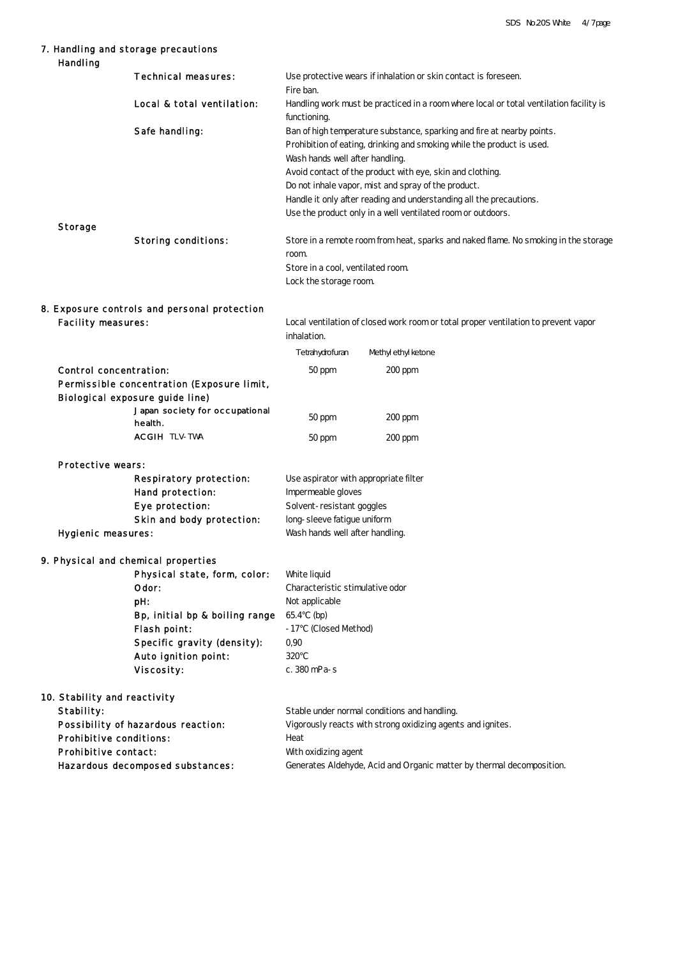### 7. Handling and storage precautions

| <b>Handling</b>                |                                                                   |                                                                                                        |                                                                                     |
|--------------------------------|-------------------------------------------------------------------|--------------------------------------------------------------------------------------------------------|-------------------------------------------------------------------------------------|
|                                | <b>Technical measures:</b>                                        | Fire ban.                                                                                              | Use protective wears if inhalation or skin contact is foreseen.                     |
|                                | Local & total ventilation:                                        | Handling work must be practiced in a room where local or total ventilation facility is<br>functioning. |                                                                                     |
|                                | Safe handling:                                                    |                                                                                                        | Ban of high temperature substance, sparking and fire at nearby points.              |
|                                |                                                                   |                                                                                                        | Prohibition of eating, drinking and smoking while the product is used.              |
|                                |                                                                   | Wash hands well after handling.                                                                        |                                                                                     |
|                                |                                                                   |                                                                                                        | Avoid contact of the product with eye, skin and clothing.                           |
|                                |                                                                   |                                                                                                        | Do not inhale vapor, mist and spray of the product.                                 |
|                                |                                                                   |                                                                                                        | Handle it only after reading and understanding all the precautions.                 |
|                                |                                                                   |                                                                                                        | Use the product only in a well ventilated room or outdoors.                         |
| <b>Storage</b>                 | <b>Storing conditions:</b>                                        | room.                                                                                                  | Store in a remote room from heat, sparks and naked flame. No smoking in the storage |
|                                |                                                                   | Store in a cool, ventilated room.                                                                      |                                                                                     |
|                                |                                                                   | Lock the storage room.                                                                                 |                                                                                     |
|                                |                                                                   |                                                                                                        |                                                                                     |
| <b>Facility measures:</b>      | 8. Exposure controls and personal protection                      |                                                                                                        | Local ventilation of closed work room or total proper ventilation to prevent vapor  |
|                                |                                                                   | inhalation.                                                                                            |                                                                                     |
|                                |                                                                   | Tetrahydrofuran                                                                                        | Methyl ethyl ketone                                                                 |
|                                |                                                                   |                                                                                                        |                                                                                     |
| <b>Control concentration:</b>  |                                                                   | 50 ppm                                                                                                 | $200$ ppm                                                                           |
|                                | Permissible concentration (Exposure limit,                        |                                                                                                        |                                                                                     |
|                                | Biological exposure guide line)<br>Japan society for occupational |                                                                                                        |                                                                                     |
|                                | <b>health</b>                                                     | 50 ppm                                                                                                 | $200$ ppm                                                                           |
|                                | <b>ACGIH TLV-TWA</b>                                              | 50 ppm                                                                                                 | $200$ ppm                                                                           |
| <b>Protective wears:</b>       |                                                                   |                                                                                                        |                                                                                     |
|                                | <b>Respiratory protection:</b>                                    | Use aspirator with appropriate filter                                                                  |                                                                                     |
|                                | <b>Hand protection:</b>                                           | Impermeable gloves                                                                                     |                                                                                     |
|                                | <b>Eye protection:</b>                                            | Solvent-resistant goggles                                                                              |                                                                                     |
|                                | Skin and body protection:                                         | long-sleeve fatigue uniform                                                                            |                                                                                     |
| <b>Hygienic measures:</b>      |                                                                   | Wash hands well after handling.                                                                        |                                                                                     |
|                                |                                                                   |                                                                                                        |                                                                                     |
|                                | 9. Physical and chemical properties                               |                                                                                                        |                                                                                     |
|                                | Physical state, form, color:                                      | White liquid                                                                                           |                                                                                     |
|                                | Odor:                                                             | Characteristic stimulative odor                                                                        |                                                                                     |
|                                | pH                                                                | Not applicable                                                                                         |                                                                                     |
|                                | Bp, initial bp & boiling range                                    | 65.4<br>(bp)                                                                                           |                                                                                     |
|                                | <b>Flash point:</b>                                               | (Closed Method)<br>$-17$                                                                               |                                                                                     |
|                                | Specific gravity (density):                                       | 0,90                                                                                                   |                                                                                     |
|                                | Auto ignition point:                                              | 320                                                                                                    |                                                                                     |
|                                | Viscosity:                                                        | c. 380 mPa-s                                                                                           |                                                                                     |
| 10. Stability and reactivity   |                                                                   |                                                                                                        |                                                                                     |
| <b>Stability:</b>              |                                                                   |                                                                                                        | Stable under normal conditions and handling.                                        |
|                                | Possibility of hazardous reaction:                                |                                                                                                        | Vigorously reacts with strong oxidizing agents and ignites.                         |
| <b>Prohibitive conditions:</b> |                                                                   | Heat                                                                                                   |                                                                                     |
| <b>Prohibitive contact:</b>    |                                                                   | With oxidizing agent                                                                                   |                                                                                     |
|                                | Hazardous decomposed substances:                                  |                                                                                                        | Generates Aldehyde, Acid and Organic matter by thermal decomposition.               |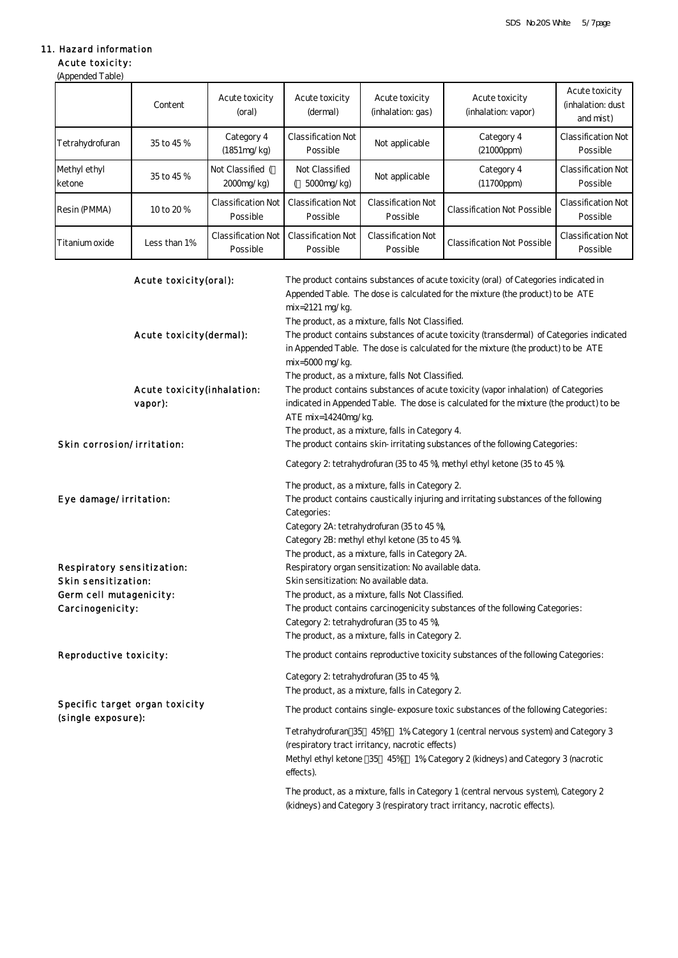### 11. Hazard information

(Appended Table) Acute toxicity:

#### Content Acute toxicity (oral) Acute toxicity (dermal) Acute toxicity (inhalation: gas) Acute toxicity (inhalation: vapor) Acute toxicity (inhalation: dust and mist) Tetrahydrofuran 35 to 45 % Category 4 (1851mg/kg) Classification Not Possible Not applicable Category 4 (21000ppm) Classification Not Possible Methyl ethyl ketone 35 to 45 % Not Classified ( 2000mg/kg) Not Classified ( 5000mg/kg) Not applicable Category 4 (11700ppm) Classification Not Possible  $Resin (PMMA)$  10 to 20 % Classification Not Possible Classification Not Possible Classification Not Possible Classification Not Possible Classification Not Possible Titanium oxide Less than 1% Classification Not Possible Classification Not Possible Classification Not Possible Classification Not Possible Classification Not Possible

|                                   | Acute toxicity(oral):             | The product contains substances of acute toxicity (oral) of Categories indicated in<br>Appended Table. The dose is calculated for the mixture (the product) to be ATE<br>$mix=2121$ mg/kg.        |
|-----------------------------------|-----------------------------------|---------------------------------------------------------------------------------------------------------------------------------------------------------------------------------------------------|
|                                   |                                   | The product, as a mixture, falls Not Classified.                                                                                                                                                  |
|                                   | Acute toxicity(dermal):           | The product contains substances of acute toxicity (transdermal) of Categories indicated<br>in Appended Table. The dose is calculated for the mixture (the product) to be ATE<br>$mix=5000$ mg/kg. |
|                                   |                                   | The product, as a mixture, falls Not Classified.                                                                                                                                                  |
|                                   | <b>Acute toxicity(inhalation:</b> | The product contains substances of acute toxicity (vapor inhalation) of Categories                                                                                                                |
|                                   | vapor):                           | indicated in Appended Table. The dose is calculated for the mixture (the product) to be<br>ATE $mix=14240mg/kg$ .                                                                                 |
|                                   |                                   | The product, as a mixture, falls in Category 4.                                                                                                                                                   |
| <b>Skin corrosion/irritation:</b> |                                   | The product contains skin-irritating substances of the following Categories:                                                                                                                      |
|                                   |                                   | Category 2: tetrahydrofuran (35 to 45 %), methyl ethyl ketone (35 to 45 %).                                                                                                                       |
|                                   |                                   | The product, as a mixture, falls in Category 2.                                                                                                                                                   |
| Eye damage/irritation:            |                                   | The product contains caustically injuring and irritating substances of the following<br>Categories:                                                                                               |
|                                   |                                   | Category 2A: tetrahydrofuran (35 to 45 %),                                                                                                                                                        |
|                                   |                                   | Category 2B: methyl ethyl ketone (35 to 45 %).                                                                                                                                                    |
|                                   |                                   | The product, as a mixture, falls in Category 2A.                                                                                                                                                  |
|                                   | Respiratory sensitization:        | Respiratory organ sensitization: No available data.                                                                                                                                               |
| Skin sensitization:               |                                   | Skin sensitization: No available data.                                                                                                                                                            |
| Germ cell mutagenicity:           |                                   | The product, as a mixture, falls Not Classified.                                                                                                                                                  |
| Carcinogenicity:                  |                                   | The product contains carcinogenicity substances of the following Categories:<br>Category 2: tetrahydrofuran (35 to 45 %),                                                                         |
|                                   |                                   | The product, as a mixture, falls in Category 2.                                                                                                                                                   |
| Reproductive toxicity:            |                                   | The product contains reproductive toxicity substances of the following Categories:                                                                                                                |
|                                   |                                   | Category 2: tetrahydrofuran (35 to 45 %),                                                                                                                                                         |
|                                   |                                   | The product, as a mixture, falls in Category 2.                                                                                                                                                   |
| (single exposure):                | Specific target organ toxicity    | The product contains single-exposure toxic substances of the following Categories:                                                                                                                |
|                                   |                                   | Tetrahydrofuran 35 45% 1% Category 1 (central nervous system) and Category 3<br>(respiratory tract irritancy, nacrotic effects)                                                                   |
|                                   |                                   | Methyl ethyl ketone 35 45% 1% Category 2 (kidneys) and Category 3 (nacrotic<br>effects).                                                                                                          |
|                                   |                                   | The product, as a mixture, falls in Category 1 (central nervous system), Category 2<br>(kidneys) and Category 3 (respiratory tract irritancy, nacrotic effects).                                  |
|                                   |                                   |                                                                                                                                                                                                   |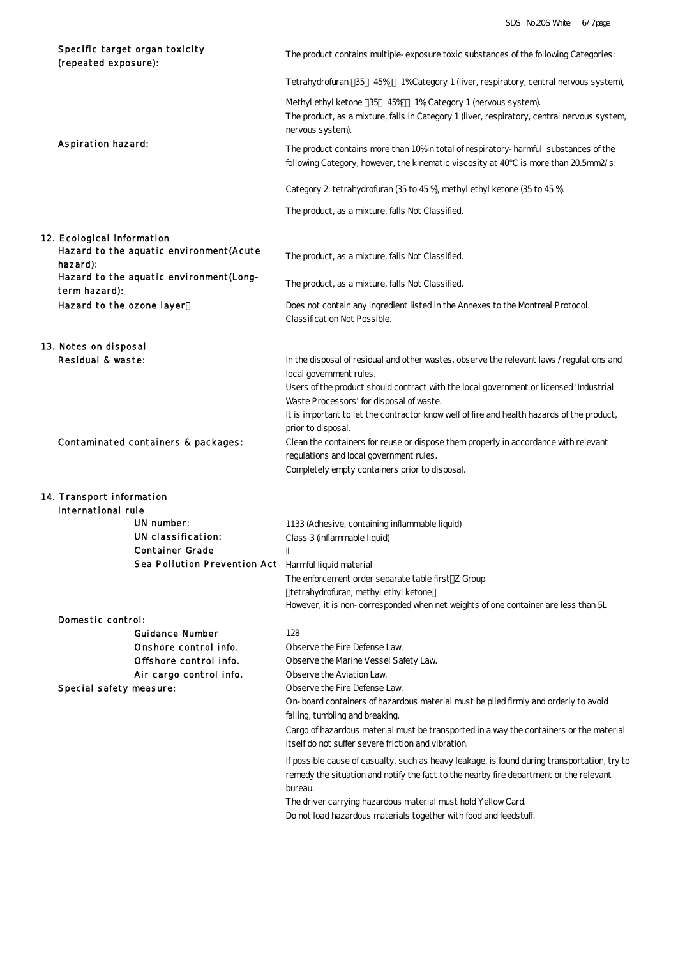| Specific target organ toxicity<br>(repeated exposure):                 | The product contains multiple-exposure toxic substances of the following Categories:                                                                                                                          |
|------------------------------------------------------------------------|---------------------------------------------------------------------------------------------------------------------------------------------------------------------------------------------------------------|
|                                                                        | Tetrahydrofuran 35 45% 1% Category 1 (liver, respiratory, central nervous system),                                                                                                                            |
|                                                                        | Methyl ethyl ketone 35 45% 1% Category 1 (nervous system).<br>The product, as a mixture, falls in Category 1 (liver, respiratory, central nervous system,<br>nervous system).                                 |
| <b>Aspiration hazard:</b>                                              | The product contains more than 10% in total of respiratory-harmful substances of the<br>following Category, however, the kinematic viscosity at 40 is more than 20.5mm2/s:                                    |
|                                                                        | Category 2: tetrahydrofuran (35 to 45 %), methyl ethyl ketone (35 to 45 %).                                                                                                                                   |
|                                                                        | The product, as a mixture, falls Not Classified.                                                                                                                                                              |
| 12. Ecological information<br>Hazard to the aquatic environment (Acute | The product, as a mixture, falls Not Classified.                                                                                                                                                              |
| hazard):<br>Hazard to the aquatic environment(Long-<br>term hazard):   | The product, as a mixture, falls Not Classified.                                                                                                                                                              |
| Hazard to the ozone layer                                              | Does not contain any ingredient listed in the Annexes to the Montreal Protocol.<br>Classification Not Possible.                                                                                               |
| 13. Notes on disposal                                                  |                                                                                                                                                                                                               |
| Residual & waste:                                                      | In the disposal of residual and other wastes, observe the relevant laws /regulations and<br>local government rules.<br>Users of the product should contract with the local government or licensed 'Industrial |
|                                                                        | Waste Processors' for disposal of waste.<br>It is important to let the contractor know well of fire and health hazards of the product,<br>prior to disposal.                                                  |
| Contaminated containers & packages:                                    | Clean the containers for reuse or dispose them properly in accordance with relevant<br>regulations and local government rules.<br>Completely empty containers prior to disposal.                              |
| 14. Transport information                                              |                                                                                                                                                                                                               |
| International rule                                                     |                                                                                                                                                                                                               |
| UN number:                                                             |                                                                                                                                                                                                               |
|                                                                        | 1133 (Adhesive, containing inflammable liquid)                                                                                                                                                                |
| UN classification:                                                     | Class 3 (inflammable liquid)                                                                                                                                                                                  |
| <b>Container Grade</b>                                                 |                                                                                                                                                                                                               |
| Sea Pollution Prevention Act Harmful liquid material                   |                                                                                                                                                                                                               |
|                                                                        | The enforcement order separate table first Z Group                                                                                                                                                            |
|                                                                        | tetrahydrofuran, methyl ethyl ketone<br>However, it is non-corresponded when net weights of one container are less than 5L                                                                                    |
|                                                                        |                                                                                                                                                                                                               |
| Domestic control:<br><b>Guidance Number</b>                            |                                                                                                                                                                                                               |
|                                                                        | 128                                                                                                                                                                                                           |
| Onshore control info.                                                  | Observe the Fire Defense Law.                                                                                                                                                                                 |
| Offshore control info.                                                 | Observe the Marine Vessel Safety Law.                                                                                                                                                                         |
| Air cargo control info.                                                | Observe the Aviation Law.                                                                                                                                                                                     |
| Special safety measure:                                                | Observe the Fire Defense Law.<br>On-board containers of hazardous material must be piled firmly and orderly to avoid                                                                                          |
|                                                                        | falling, tumbling and breaking.                                                                                                                                                                               |
|                                                                        | Cargo of hazardous material must be transported in a way the containers or the material<br>itself do not suffer severe friction and vibration.                                                                |
|                                                                        |                                                                                                                                                                                                               |
|                                                                        | If possible cause of casualty, such as heavy leakage, is found during transportation, try to<br>remedy the situation and notify the fact to the nearby fire department or the relevant<br>bureau.             |
|                                                                        | The driver carrying hazardous material must hold Yellow Card.<br>Do not load hazardous materials together with food and feedstuff.                                                                            |
|                                                                        |                                                                                                                                                                                                               |